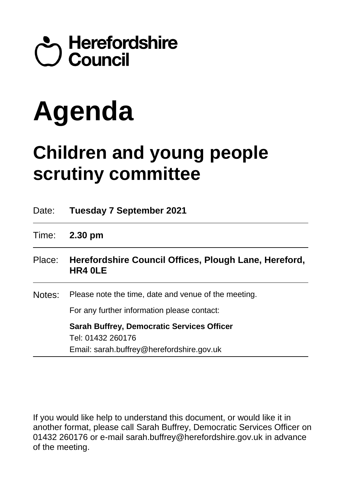

# **Agenda**

## **Children and young people scrutiny committee**

| Date:  | <b>Tuesday 7 September 2021</b>                                                                                     |
|--------|---------------------------------------------------------------------------------------------------------------------|
| Time:  | $2.30 \text{ pm}$                                                                                                   |
| Place: | Herefordshire Council Offices, Plough Lane, Hereford,<br>HR4 OLE                                                    |
| Notes: | Please note the time, date and venue of the meeting.<br>For any further information please contact:                 |
|        | <b>Sarah Buffrey, Democratic Services Officer</b><br>Tel: 01432 260176<br>Email: sarah.buffrey@herefordshire.gov.uk |

If you would like help to understand this document, or would like it in another format, please call Sarah Buffrey, Democratic Services Officer on 01432 260176 or e-mail sarah.buffrey@herefordshire.gov.uk in advance of the meeting.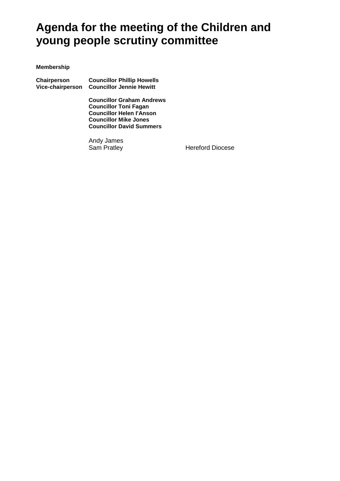### **Agenda for the meeting of the Children and young people scrutiny committee**

#### **Membership**

**Chairperson Councillor Phillip Howells Vice-chairperson Councillor Jennie Hewitt**

> **Councillor Graham Andrews Councillor Toni Fagan Councillor Helen I'Anson Councillor Mike Jones Councillor David Summers**

Andy James

**Hereford Diocese**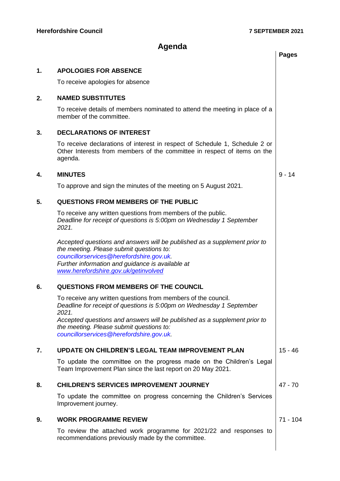$\overline{\phantom{a}}$ 

#### **Agenda**

|    |                                                                                                                                                                                                                                                               | <b>Pages</b> |
|----|---------------------------------------------------------------------------------------------------------------------------------------------------------------------------------------------------------------------------------------------------------------|--------------|
| 1. | <b>APOLOGIES FOR ABSENCE</b>                                                                                                                                                                                                                                  |              |
|    | To receive apologies for absence                                                                                                                                                                                                                              |              |
| 2. | <b>NAMED SUBSTITUTES</b>                                                                                                                                                                                                                                      |              |
|    | To receive details of members nominated to attend the meeting in place of a<br>member of the committee.                                                                                                                                                       |              |
| 3. | <b>DECLARATIONS OF INTEREST</b>                                                                                                                                                                                                                               |              |
|    | To receive declarations of interest in respect of Schedule 1, Schedule 2 or<br>Other Interests from members of the committee in respect of items on the<br>agenda.                                                                                            |              |
| 4. | <b>MINUTES</b>                                                                                                                                                                                                                                                | $9 - 14$     |
|    | To approve and sign the minutes of the meeting on 5 August 2021.                                                                                                                                                                                              |              |
| 5. | <b>QUESTIONS FROM MEMBERS OF THE PUBLIC</b>                                                                                                                                                                                                                   |              |
|    | To receive any written questions from members of the public.<br>Deadline for receipt of questions is 5:00pm on Wednesday 1 September<br>2021.                                                                                                                 |              |
|    | Accepted questions and answers will be published as a supplement prior to<br>the meeting. Please submit questions to:<br>councillorservices@herefordshire.gov.uk.<br>Further information and guidance is available at<br>www.herefordshire.gov.uk/getinvolved |              |
| 6. | <b>QUESTIONS FROM MEMBERS OF THE COUNCIL</b>                                                                                                                                                                                                                  |              |
|    | To receive any written questions from members of the council.<br>Deadline for receipt of questions is 5:00pm on Wednesday 1 September<br>2021.                                                                                                                |              |
|    | Accepted questions and answers will be published as a supplement prior to<br>the meeting. Please submit questions to:<br>councillorservices@herefordshire.gov.uk.                                                                                             |              |
| 7. | <b>UPDATE ON CHILDREN'S LEGAL TEAM IMPROVEMENT PLAN</b>                                                                                                                                                                                                       | $15 - 46$    |
|    | To update the committee on the progress made on the Children's Legal<br>Team Improvement Plan since the last report on 20 May 2021.                                                                                                                           |              |
| 8. | <b>CHILDREN'S SERVICES IMPROVEMENT JOURNEY</b>                                                                                                                                                                                                                | $47 - 70$    |
|    | To update the committee on progress concerning the Children's Services<br>Improvement journey.                                                                                                                                                                |              |
| 9. | <b>WORK PROGRAMME REVIEW</b>                                                                                                                                                                                                                                  | 71 - 104     |
|    | To review the attached work programme for 2021/22 and responses to<br>recommendations previously made by the committee.                                                                                                                                       |              |